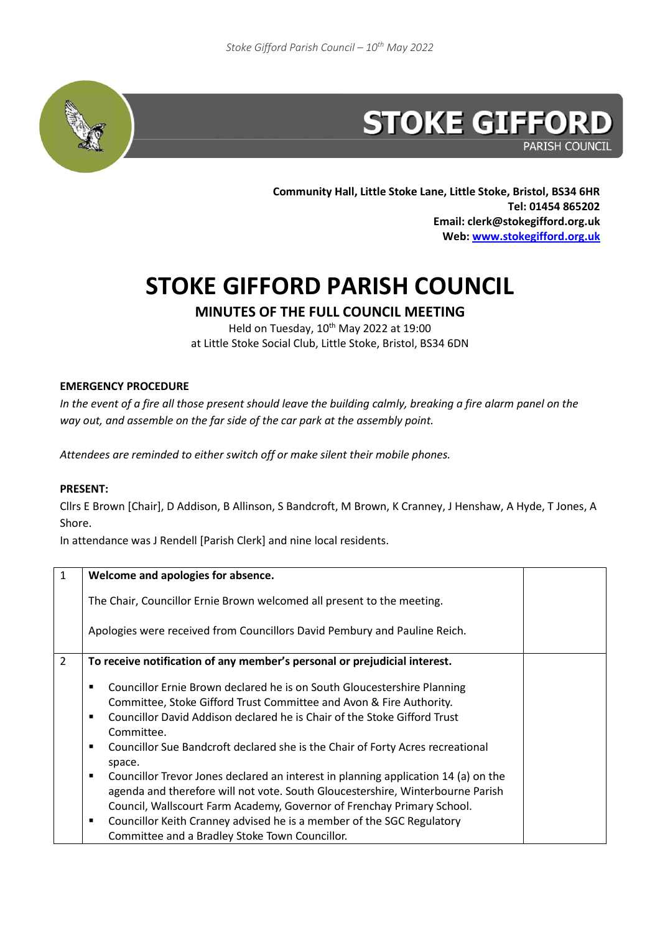

**PARISH COUNCIL** 

**Community Hall, Little Stoke Lane, Little Stoke, Bristol, BS34 6HR Tel: 01454 865202 Email: clerk@stokegifford.org.uk Web: [www.stokegifford.org.uk](http://www.stokegifford.org.uk/)**

## **STOKE GIFFORD PARISH COUNCIL**

**MINUTES OF THE FULL COUNCIL MEETING**

Held on Tuesday, 10<sup>th</sup> May 2022 at 19:00 at Little Stoke Social Club, Little Stoke, Bristol, BS34 6DN

## **EMERGENCY PROCEDURE**

*In the event of a fire all those present should leave the building calmly, breaking a fire alarm panel on the way out, and assemble on the far side of the car park at the assembly point.* 

*Attendees are reminded to either switch off or make silent their mobile phones.*

## **PRESENT:**

Cllrs E Brown [Chair], D Addison, B Allinson, S Bandcroft, M Brown, K Cranney, J Henshaw, A Hyde, T Jones, A Shore.

In attendance was J Rendell [Parish Clerk] and nine local residents.

| $\mathbf{1}$   | Welcome and apologies for absence.                                                                                                                                                                                                                                                                                                   |  |
|----------------|--------------------------------------------------------------------------------------------------------------------------------------------------------------------------------------------------------------------------------------------------------------------------------------------------------------------------------------|--|
|                | The Chair, Councillor Ernie Brown welcomed all present to the meeting.                                                                                                                                                                                                                                                               |  |
|                | Apologies were received from Councillors David Pembury and Pauline Reich.                                                                                                                                                                                                                                                            |  |
| $\overline{2}$ | To receive notification of any member's personal or prejudicial interest.                                                                                                                                                                                                                                                            |  |
|                | Councillor Ernie Brown declared he is on South Gloucestershire Planning<br>Committee, Stoke Gifford Trust Committee and Avon & Fire Authority.<br>Councillor David Addison declared he is Chair of the Stoke Gifford Trust<br>Committee.<br>Councillor Sue Bandcroft declared she is the Chair of Forty Acres recreational<br>space. |  |
|                | Councillor Trevor Jones declared an interest in planning application 14 (a) on the<br>٠<br>agenda and therefore will not vote. South Gloucestershire, Winterbourne Parish<br>Council, Wallscourt Farm Academy, Governor of Frenchay Primary School.                                                                                  |  |
|                | Councillor Keith Cranney advised he is a member of the SGC Regulatory<br>п<br>Committee and a Bradley Stoke Town Councillor.                                                                                                                                                                                                         |  |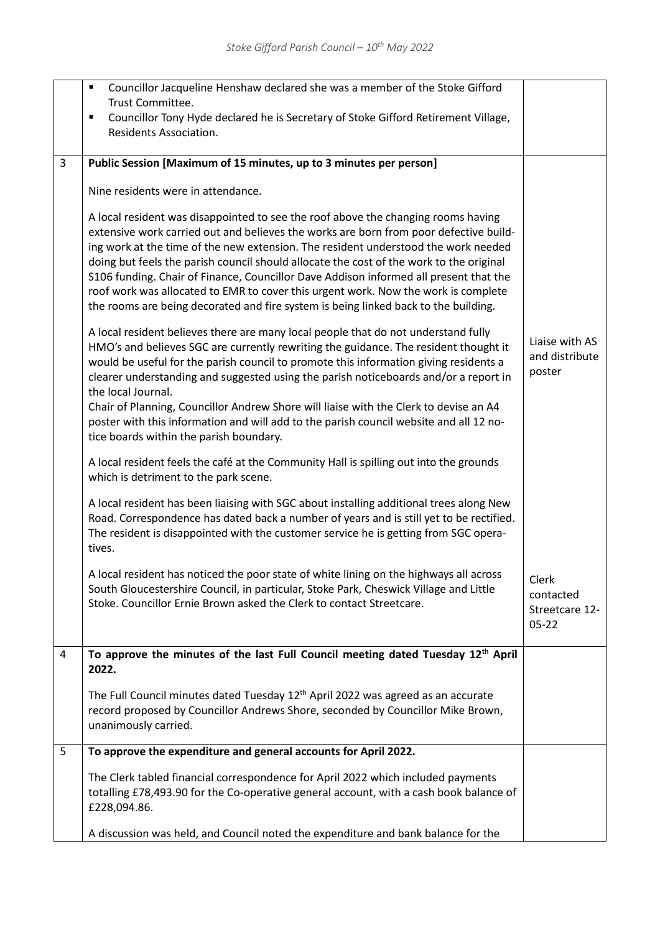|                | Councillor Jacqueline Henshaw declared she was a member of the Stoke Gifford<br>٠<br>Trust Committee.<br>Councillor Tony Hyde declared he is Secretary of Stoke Gifford Retirement Village,<br>٠<br>Residents Association.                                                                                                                                                                                                                                                                                                                                                                                                        |                                                   |
|----------------|-----------------------------------------------------------------------------------------------------------------------------------------------------------------------------------------------------------------------------------------------------------------------------------------------------------------------------------------------------------------------------------------------------------------------------------------------------------------------------------------------------------------------------------------------------------------------------------------------------------------------------------|---------------------------------------------------|
| $\overline{3}$ | Public Session [Maximum of 15 minutes, up to 3 minutes per person]                                                                                                                                                                                                                                                                                                                                                                                                                                                                                                                                                                |                                                   |
|                | Nine residents were in attendance.                                                                                                                                                                                                                                                                                                                                                                                                                                                                                                                                                                                                |                                                   |
|                | A local resident was disappointed to see the roof above the changing rooms having<br>extensive work carried out and believes the works are born from poor defective build-<br>ing work at the time of the new extension. The resident understood the work needed<br>doing but feels the parish council should allocate the cost of the work to the original<br>S106 funding. Chair of Finance, Councillor Dave Addison informed all present that the<br>roof work was allocated to EMR to cover this urgent work. Now the work is complete<br>the rooms are being decorated and fire system is being linked back to the building. |                                                   |
|                | A local resident believes there are many local people that do not understand fully<br>HMO's and believes SGC are currently rewriting the guidance. The resident thought it<br>would be useful for the parish council to promote this information giving residents a<br>clearer understanding and suggested using the parish noticeboards and/or a report in<br>the local Journal.<br>Chair of Planning, Councillor Andrew Shore will liaise with the Clerk to devise an A4<br>poster with this information and will add to the parish council website and all 12 no-                                                              | Liaise with AS<br>and distribute<br>poster        |
|                | tice boards within the parish boundary.<br>A local resident feels the café at the Community Hall is spilling out into the grounds<br>which is detriment to the park scene.                                                                                                                                                                                                                                                                                                                                                                                                                                                        |                                                   |
|                | A local resident has been liaising with SGC about installing additional trees along New<br>Road. Correspondence has dated back a number of years and is still yet to be rectified.<br>The resident is disappointed with the customer service he is getting from SGC opera-<br>tives.                                                                                                                                                                                                                                                                                                                                              |                                                   |
|                | A local resident has noticed the poor state of white lining on the highways all across<br>South Gloucestershire Council, in particular, Stoke Park, Cheswick Village and Little<br>Stoke. Councillor Ernie Brown asked the Clerk to contact Streetcare.                                                                                                                                                                                                                                                                                                                                                                           | Clerk<br>contacted<br>Streetcare 12-<br>$05 - 22$ |
| $\overline{4}$ | To approve the minutes of the last Full Council meeting dated Tuesday 12th April<br>2022.                                                                                                                                                                                                                                                                                                                                                                                                                                                                                                                                         |                                                   |
|                | The Full Council minutes dated Tuesday 12 <sup>th</sup> April 2022 was agreed as an accurate<br>record proposed by Councillor Andrews Shore, seconded by Councillor Mike Brown,<br>unanimously carried.                                                                                                                                                                                                                                                                                                                                                                                                                           |                                                   |
| 5              | To approve the expenditure and general accounts for April 2022.                                                                                                                                                                                                                                                                                                                                                                                                                                                                                                                                                                   |                                                   |
|                | The Clerk tabled financial correspondence for April 2022 which included payments<br>totalling £78,493.90 for the Co-operative general account, with a cash book balance of<br>£228,094.86.                                                                                                                                                                                                                                                                                                                                                                                                                                        |                                                   |
|                | A discussion was held, and Council noted the expenditure and bank balance for the                                                                                                                                                                                                                                                                                                                                                                                                                                                                                                                                                 |                                                   |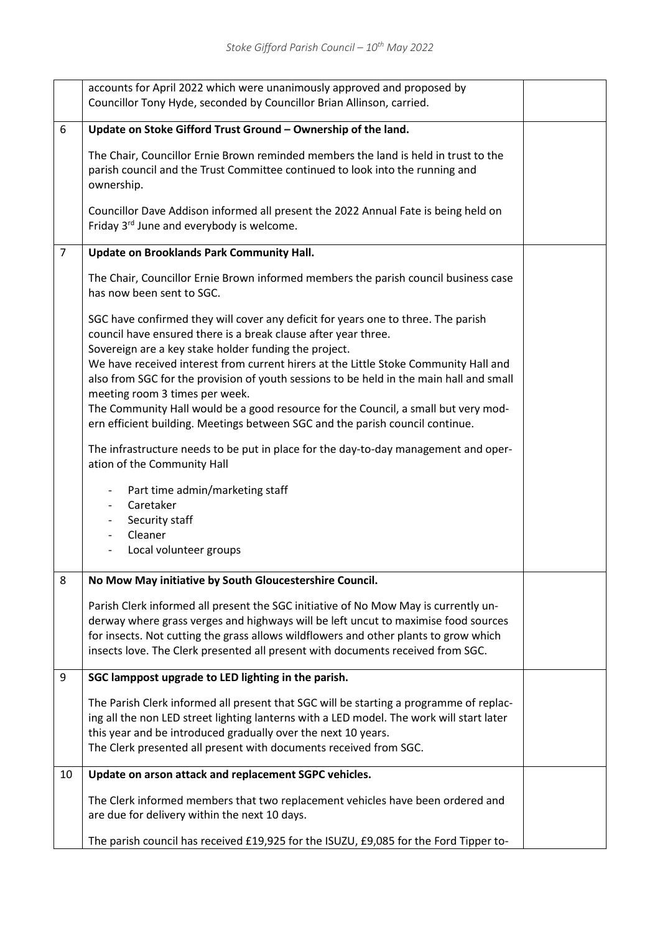|                | accounts for April 2022 which were unanimously approved and proposed by<br>Councillor Tony Hyde, seconded by Councillor Brian Allinson, carried.                                                                                                                                                                                                     |  |
|----------------|------------------------------------------------------------------------------------------------------------------------------------------------------------------------------------------------------------------------------------------------------------------------------------------------------------------------------------------------------|--|
| 6              | Update on Stoke Gifford Trust Ground - Ownership of the land.                                                                                                                                                                                                                                                                                        |  |
|                | The Chair, Councillor Ernie Brown reminded members the land is held in trust to the<br>parish council and the Trust Committee continued to look into the running and<br>ownership.                                                                                                                                                                   |  |
|                | Councillor Dave Addison informed all present the 2022 Annual Fate is being held on<br>Friday 3 <sup>rd</sup> June and everybody is welcome.                                                                                                                                                                                                          |  |
| $\overline{7}$ | Update on Brooklands Park Community Hall.                                                                                                                                                                                                                                                                                                            |  |
|                | The Chair, Councillor Ernie Brown informed members the parish council business case<br>has now been sent to SGC.                                                                                                                                                                                                                                     |  |
|                | SGC have confirmed they will cover any deficit for years one to three. The parish<br>council have ensured there is a break clause after year three.                                                                                                                                                                                                  |  |
|                | Sovereign are a key stake holder funding the project.<br>We have received interest from current hirers at the Little Stoke Community Hall and<br>also from SGC for the provision of youth sessions to be held in the main hall and small<br>meeting room 3 times per week.                                                                           |  |
|                | The Community Hall would be a good resource for the Council, a small but very mod-<br>ern efficient building. Meetings between SGC and the parish council continue.                                                                                                                                                                                  |  |
|                | The infrastructure needs to be put in place for the day-to-day management and oper-<br>ation of the Community Hall                                                                                                                                                                                                                                   |  |
|                | Part time admin/marketing staff<br>$\overline{\phantom{a}}$<br>Caretaker<br>$\overline{\phantom{a}}$                                                                                                                                                                                                                                                 |  |
|                | Security staff                                                                                                                                                                                                                                                                                                                                       |  |
|                | Cleaner<br>Local volunteer groups                                                                                                                                                                                                                                                                                                                    |  |
| 8              | No Mow May initiative by South Gloucestershire Council.                                                                                                                                                                                                                                                                                              |  |
|                | Parish Clerk informed all present the SGC initiative of No Mow May is currently un-<br>derway where grass verges and highways will be left uncut to maximise food sources<br>for insects. Not cutting the grass allows wildflowers and other plants to grow which<br>insects love. The Clerk presented all present with documents received from SGC. |  |
| 9              | SGC lamppost upgrade to LED lighting in the parish.                                                                                                                                                                                                                                                                                                  |  |
|                | The Parish Clerk informed all present that SGC will be starting a programme of replac-<br>ing all the non LED street lighting lanterns with a LED model. The work will start later<br>this year and be introduced gradually over the next 10 years.<br>The Clerk presented all present with documents received from SGC.                             |  |
| 10             | Update on arson attack and replacement SGPC vehicles.                                                                                                                                                                                                                                                                                                |  |
|                | The Clerk informed members that two replacement vehicles have been ordered and<br>are due for delivery within the next 10 days.                                                                                                                                                                                                                      |  |
|                | The parish council has received £19,925 for the ISUZU, £9,085 for the Ford Tipper to-                                                                                                                                                                                                                                                                |  |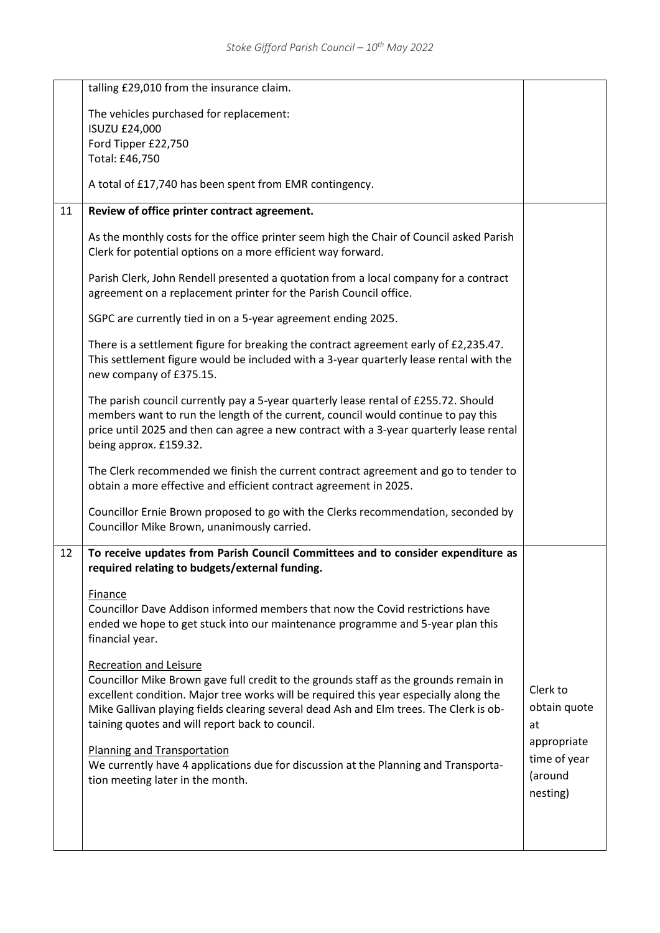|    | talling £29,010 from the insurance claim.                                                                                                                                                                                                                                                                                                                                                                                                                                                                             |                                                                                      |
|----|-----------------------------------------------------------------------------------------------------------------------------------------------------------------------------------------------------------------------------------------------------------------------------------------------------------------------------------------------------------------------------------------------------------------------------------------------------------------------------------------------------------------------|--------------------------------------------------------------------------------------|
|    | The vehicles purchased for replacement:                                                                                                                                                                                                                                                                                                                                                                                                                                                                               |                                                                                      |
|    | <b>ISUZU £24,000</b>                                                                                                                                                                                                                                                                                                                                                                                                                                                                                                  |                                                                                      |
|    | Ford Tipper £22,750<br>Total: £46,750                                                                                                                                                                                                                                                                                                                                                                                                                                                                                 |                                                                                      |
|    |                                                                                                                                                                                                                                                                                                                                                                                                                                                                                                                       |                                                                                      |
|    | A total of £17,740 has been spent from EMR contingency.                                                                                                                                                                                                                                                                                                                                                                                                                                                               |                                                                                      |
| 11 | Review of office printer contract agreement.                                                                                                                                                                                                                                                                                                                                                                                                                                                                          |                                                                                      |
|    | As the monthly costs for the office printer seem high the Chair of Council asked Parish<br>Clerk for potential options on a more efficient way forward.                                                                                                                                                                                                                                                                                                                                                               |                                                                                      |
|    | Parish Clerk, John Rendell presented a quotation from a local company for a contract<br>agreement on a replacement printer for the Parish Council office.                                                                                                                                                                                                                                                                                                                                                             |                                                                                      |
|    | SGPC are currently tied in on a 5-year agreement ending 2025.                                                                                                                                                                                                                                                                                                                                                                                                                                                         |                                                                                      |
|    | There is a settlement figure for breaking the contract agreement early of £2,235.47.<br>This settlement figure would be included with a 3-year quarterly lease rental with the<br>new company of £375.15.                                                                                                                                                                                                                                                                                                             |                                                                                      |
|    | The parish council currently pay a 5-year quarterly lease rental of £255.72. Should<br>members want to run the length of the current, council would continue to pay this<br>price until 2025 and then can agree a new contract with a 3-year quarterly lease rental<br>being approx. £159.32.                                                                                                                                                                                                                         |                                                                                      |
|    | The Clerk recommended we finish the current contract agreement and go to tender to<br>obtain a more effective and efficient contract agreement in 2025.                                                                                                                                                                                                                                                                                                                                                               |                                                                                      |
|    | Councillor Ernie Brown proposed to go with the Clerks recommendation, seconded by<br>Councillor Mike Brown, unanimously carried.                                                                                                                                                                                                                                                                                                                                                                                      |                                                                                      |
| 12 | To receive updates from Parish Council Committees and to consider expenditure as                                                                                                                                                                                                                                                                                                                                                                                                                                      |                                                                                      |
|    | required relating to budgets/external funding.                                                                                                                                                                                                                                                                                                                                                                                                                                                                        |                                                                                      |
|    | Finance<br>Councillor Dave Addison informed members that now the Covid restrictions have<br>ended we hope to get stuck into our maintenance programme and 5-year plan this<br>financial year.                                                                                                                                                                                                                                                                                                                         |                                                                                      |
|    | <b>Recreation and Leisure</b><br>Councillor Mike Brown gave full credit to the grounds staff as the grounds remain in<br>excellent condition. Major tree works will be required this year especially along the<br>Mike Gallivan playing fields clearing several dead Ash and Elm trees. The Clerk is ob-<br>taining quotes and will report back to council.<br>Planning and Transportation<br>We currently have 4 applications due for discussion at the Planning and Transporta-<br>tion meeting later in the month. | Clerk to<br>obtain quote<br>at<br>appropriate<br>time of year<br>(around<br>nesting) |
|    |                                                                                                                                                                                                                                                                                                                                                                                                                                                                                                                       |                                                                                      |